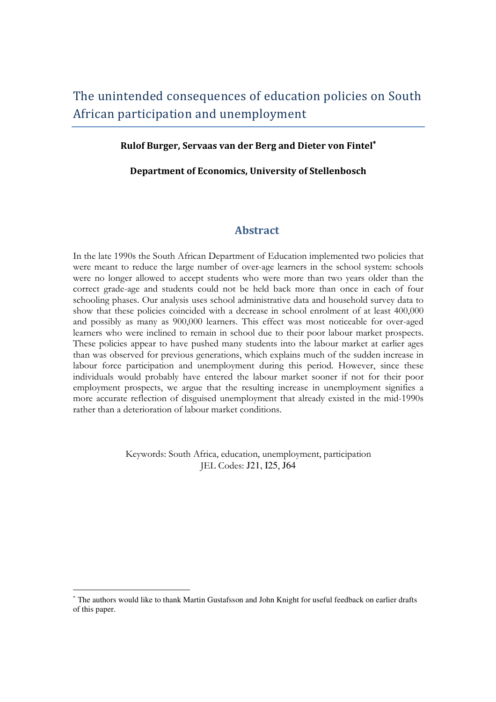# The unintended consequences of education policies on South African participation and unemployment

### Rulof Burger, Servaas van der Berg and Dieter von Fintel<sup>∗</sup>

### Department of Economics, University of Stellenbosch

### Abstract

In the late 1990s the South African Department of Education implemented two policies that were meant to reduce the large number of over-age learners in the school system: schools were no longer allowed to accept students who were more than two years older than the correct grade-age and students could not be held back more than once in each of four schooling phases. Our analysis uses school administrative data and household survey data to show that these policies coincided with a decrease in school enrolment of at least 400,000 and possibly as many as 900,000 learners. This effect was most noticeable for over-aged learners who were inclined to remain in school due to their poor labour market prospects. These policies appear to have pushed many students into the labour market at earlier ages than was observed for previous generations, which explains much of the sudden increase in labour force participation and unemployment during this period. However, since these individuals would probably have entered the labour market sooner if not for their poor employment prospects, we argue that the resulting increase in unemployment signifies a more accurate reflection of disguised unemployment that already existed in the mid-1990s rather than a deterioration of labour market conditions.

> Keywords: South Africa, education, unemployment, participation JEL Codes: J21, I25, J64

-

<sup>∗</sup> The authors would like to thank Martin Gustafsson and John Knight for useful feedback on earlier drafts of this paper.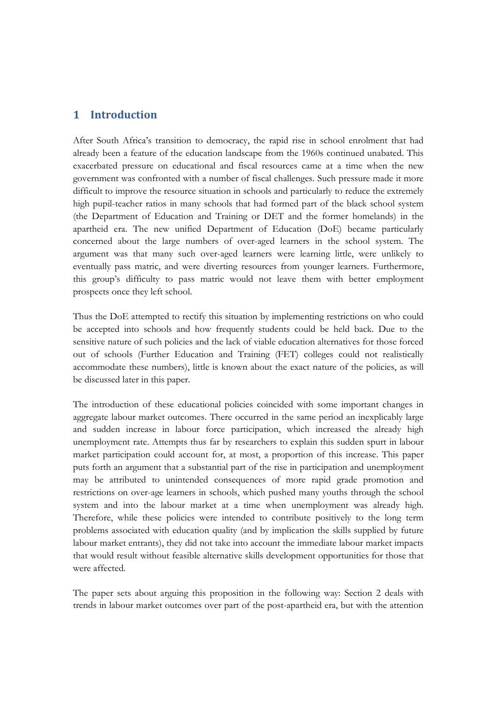# 1 Introduction

After South Africa's transition to democracy, the rapid rise in school enrolment that had already been a feature of the education landscape from the 1960s continued unabated. This exacerbated pressure on educational and fiscal resources came at a time when the new government was confronted with a number of fiscal challenges. Such pressure made it more difficult to improve the resource situation in schools and particularly to reduce the extremely high pupil-teacher ratios in many schools that had formed part of the black school system (the Department of Education and Training or DET and the former homelands) in the apartheid era. The new unified Department of Education (DoE) became particularly concerned about the large numbers of over-aged learners in the school system. The argument was that many such over-aged learners were learning little, were unlikely to eventually pass matric, and were diverting resources from younger learners. Furthermore, this group's difficulty to pass matric would not leave them with better employment prospects once they left school.

Thus the DoE attempted to rectify this situation by implementing restrictions on who could be accepted into schools and how frequently students could be held back. Due to the sensitive nature of such policies and the lack of viable education alternatives for those forced out of schools (Further Education and Training (FET) colleges could not realistically accommodate these numbers), little is known about the exact nature of the policies, as will be discussed later in this paper.

The introduction of these educational policies coincided with some important changes in aggregate labour market outcomes. There occurred in the same period an inexplicably large and sudden increase in labour force participation, which increased the already high unemployment rate. Attempts thus far by researchers to explain this sudden spurt in labour market participation could account for, at most, a proportion of this increase. This paper puts forth an argument that a substantial part of the rise in participation and unemployment may be attributed to unintended consequences of more rapid grade promotion and restrictions on over-age learners in schools, which pushed many youths through the school system and into the labour market at a time when unemployment was already high. Therefore, while these policies were intended to contribute positively to the long term problems associated with education quality (and by implication the skills supplied by future labour market entrants), they did not take into account the immediate labour market impacts that would result without feasible alternative skills development opportunities for those that were affected.

The paper sets about arguing this proposition in the following way: Section 2 deals with trends in labour market outcomes over part of the post-apartheid era, but with the attention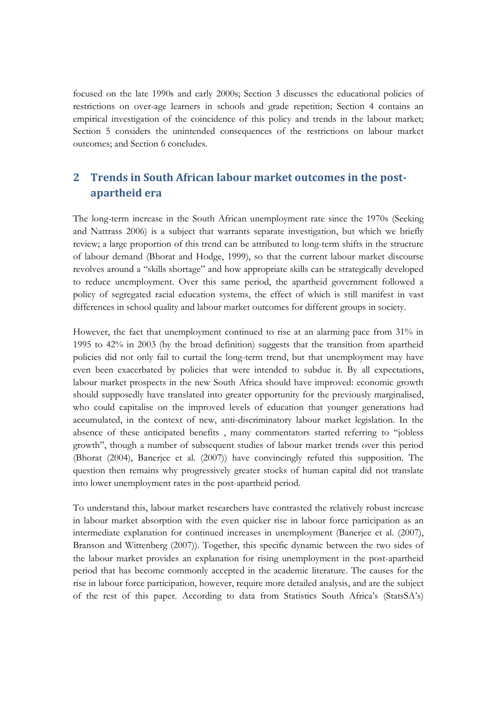focused on the late 1990s and early 2000s; Section 3 discusses the educational policies of restrictions on over-age learners in schools and grade repetition; Section 4 contains an empirical investigation of the coincidence of this policy and trends in the labour market; Section 5 considers the unintended consequences of the restrictions on labour market outcomes; and Section 6 concludes.

# 2 Trends in South African labour market outcomes in the postapartheid era

The long-term increase in the South African unemployment rate since the 1970s (Seeking and Nattrass 2006) is a subject that warrants separate investigation, but which we briefly review; a large proportion of this trend can be attributed to long-term shifts in the structure of labour demand (Bhorat and Hodge, 1999), so that the current labour market discourse revolves around a "skills shortage" and how appropriate skills can be strategically developed to reduce unemployment. Over this same period, the apartheid government followed a policy of segregated racial education systems, the effect of which is still manifest in vast differences in school quality and labour market outcomes for different groups in society.

However, the fact that unemployment continued to rise at an alarming pace from 31% in 1995 to 42% in 2003 (by the broad definition) suggests that the transition from apartheid policies did not only fail to curtail the long-term trend, but that unemployment may have even been exacerbated by policies that were intended to subdue it. By all expectations, labour market prospects in the new South Africa should have improved: economic growth should supposedly have translated into greater opportunity for the previously marginalised, who could capitalise on the improved levels of education that younger generations had accumulated, in the context of new, anti-discriminatory labour market legislation. In the absence of these anticipated benefits , many commentators started referring to "jobless growth", though a number of subsequent studies of labour market trends over this period (Bhorat (2004), Banerjee et al. (2007)) have convincingly refuted this supposition. The question then remains why progressively greater stocks of human capital did not translate into lower unemployment rates in the post-apartheid period.

To understand this, labour market researchers have contrasted the relatively robust increase in labour market absorption with the even quicker rise in labour force participation as an intermediate explanation for continued increases in unemployment (Banerjee et al. (2007), Branson and Wittenberg (2007)). Together, this specific dynamic between the two sides of the labour market provides an explanation for rising unemployment in the post-apartheid period that has become commonly accepted in the academic literature. The causes for the rise in labour force participation, however, require more detailed analysis, and are the subject of the rest of this paper. According to data from Statistics South Africa's (StatsSA's)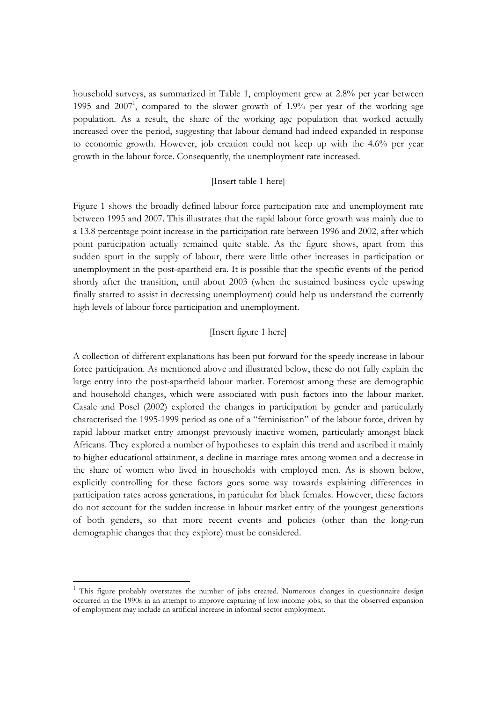household surveys, as summarized in Table 1, employment grew at 2.8% per year between 1995 and  $2007<sup>1</sup>$ , compared to the slower growth of 1.9% per year of the working age population. As a result, the share of the working age population that worked actually increased over the period, suggesting that labour demand had indeed expanded in response to economic growth. However, job creation could not keep up with the 4.6% per year growth in the labour force. Consequently, the unemployment rate increased.

### [Insert table 1 here]

Figure 1 shows the broadly defined labour force participation rate and unemployment rate between 1995 and 2007. This illustrates that the rapid labour force growth was mainly due to a 13.8 percentage point increase in the participation rate between 1996 and 2002, after which point participation actually remained quite stable. As the figure shows, apart from this sudden spurt in the supply of labour, there were little other increases in participation or unemployment in the post-apartheid era. It is possible that the specific events of the period shortly after the transition, until about 2003 (when the sustained business cycle upswing finally started to assist in decreasing unemployment) could help us understand the currently high levels of labour force participation and unemployment.

#### [Insert figure 1 here]

A collection of different explanations has been put forward for the speedy increase in labour force participation. As mentioned above and illustrated below, these do not fully explain the large entry into the post-apartheid labour market. Foremost among these are demographic and household changes, which were associated with push factors into the labour market. Casale and Posel (2002) explored the changes in participation by gender and particularly characterised the 1995-1999 period as one of a "feminisation" of the labour force, driven by rapid labour market entry amongst previously inactive women, particularly amongst black Africans. They explored a number of hypotheses to explain this trend and ascribed it mainly to higher educational attainment, a decline in marriage rates among women and a decrease in the share of women who lived in households with employed men. As is shown below, explicitly controlling for these factors goes some way towards explaining differences in participation rates across generations, in particular for black females. However, these factors do not account for the sudden increase in labour market entry of the youngest generations of both genders, so that more recent events and policies (other than the long-run demographic changes that they explore) must be considered.

-

<sup>&</sup>lt;sup>1</sup> This figure probably overstates the number of jobs created. Numerous changes in questionnaire design occurred in the 1990s in an attempt to improve capturing of low-income jobs, so that the observed expansion of employment may include an artificial increase in informal sector employment.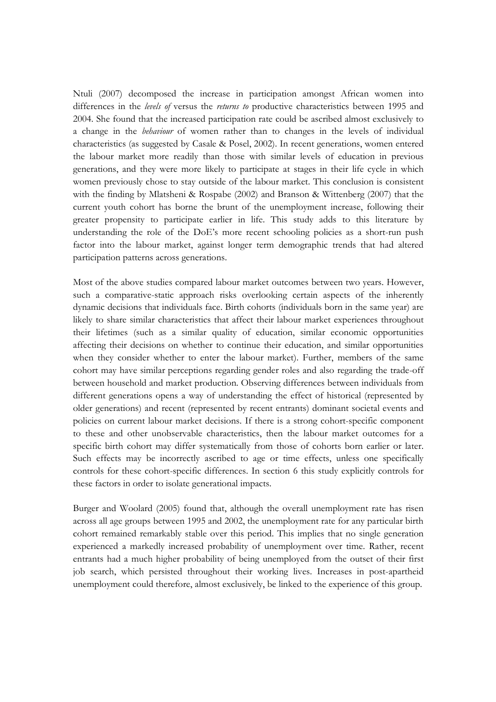Ntuli (2007) decomposed the increase in participation amongst African women into differences in the *levels of versus the returns to* productive characteristics between 1995 and 2004. She found that the increased participation rate could be ascribed almost exclusively to a change in the behaviour of women rather than to changes in the levels of individual characteristics (as suggested by Casale & Posel, 2002). In recent generations, women entered the labour market more readily than those with similar levels of education in previous generations, and they were more likely to participate at stages in their life cycle in which women previously chose to stay outside of the labour market. This conclusion is consistent with the finding by Mlatsheni & Rospabe (2002) and Branson & Wittenberg (2007) that the current youth cohort has borne the brunt of the unemployment increase, following their greater propensity to participate earlier in life. This study adds to this literature by understanding the role of the DoE's more recent schooling policies as a short-run push factor into the labour market, against longer term demographic trends that had altered participation patterns across generations.

Most of the above studies compared labour market outcomes between two years. However, such a comparative-static approach risks overlooking certain aspects of the inherently dynamic decisions that individuals face. Birth cohorts (individuals born in the same year) are likely to share similar characteristics that affect their labour market experiences throughout their lifetimes (such as a similar quality of education, similar economic opportunities affecting their decisions on whether to continue their education, and similar opportunities when they consider whether to enter the labour market). Further, members of the same cohort may have similar perceptions regarding gender roles and also regarding the trade-off between household and market production. Observing differences between individuals from different generations opens a way of understanding the effect of historical (represented by older generations) and recent (represented by recent entrants) dominant societal events and policies on current labour market decisions. If there is a strong cohort-specific component to these and other unobservable characteristics, then the labour market outcomes for a specific birth cohort may differ systematically from those of cohorts born earlier or later. Such effects may be incorrectly ascribed to age or time effects, unless one specifically controls for these cohort-specific differences. In section 6 this study explicitly controls for these factors in order to isolate generational impacts.

Burger and Woolard (2005) found that, although the overall unemployment rate has risen across all age groups between 1995 and 2002, the unemployment rate for any particular birth cohort remained remarkably stable over this period. This implies that no single generation experienced a markedly increased probability of unemployment over time. Rather, recent entrants had a much higher probability of being unemployed from the outset of their first job search, which persisted throughout their working lives. Increases in post-apartheid unemployment could therefore, almost exclusively, be linked to the experience of this group.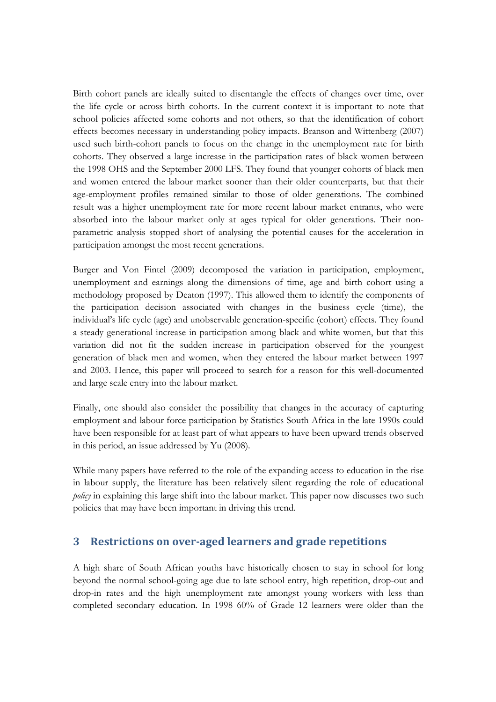Birth cohort panels are ideally suited to disentangle the effects of changes over time, over the life cycle or across birth cohorts. In the current context it is important to note that school policies affected some cohorts and not others, so that the identification of cohort effects becomes necessary in understanding policy impacts. Branson and Wittenberg (2007) used such birth-cohort panels to focus on the change in the unemployment rate for birth cohorts. They observed a large increase in the participation rates of black women between the 1998 OHS and the September 2000 LFS. They found that younger cohorts of black men and women entered the labour market sooner than their older counterparts, but that their age-employment profiles remained similar to those of older generations. The combined result was a higher unemployment rate for more recent labour market entrants, who were absorbed into the labour market only at ages typical for older generations. Their nonparametric analysis stopped short of analysing the potential causes for the acceleration in participation amongst the most recent generations.

Burger and Von Fintel (2009) decomposed the variation in participation, employment, unemployment and earnings along the dimensions of time, age and birth cohort using a methodology proposed by Deaton (1997). This allowed them to identify the components of the participation decision associated with changes in the business cycle (time), the individual's life cycle (age) and unobservable generation-specific (cohort) effects. They found a steady generational increase in participation among black and white women, but that this variation did not fit the sudden increase in participation observed for the youngest generation of black men and women, when they entered the labour market between 1997 and 2003. Hence, this paper will proceed to search for a reason for this well-documented and large scale entry into the labour market.

Finally, one should also consider the possibility that changes in the accuracy of capturing employment and labour force participation by Statistics South Africa in the late 1990s could have been responsible for at least part of what appears to have been upward trends observed in this period, an issue addressed by Yu (2008).

While many papers have referred to the role of the expanding access to education in the rise in labour supply, the literature has been relatively silent regarding the role of educational policy in explaining this large shift into the labour market. This paper now discusses two such policies that may have been important in driving this trend.

# 3 Restrictions on over-aged learners and grade repetitions

A high share of South African youths have historically chosen to stay in school for long beyond the normal school-going age due to late school entry, high repetition, drop-out and drop-in rates and the high unemployment rate amongst young workers with less than completed secondary education. In 1998 60% of Grade 12 learners were older than the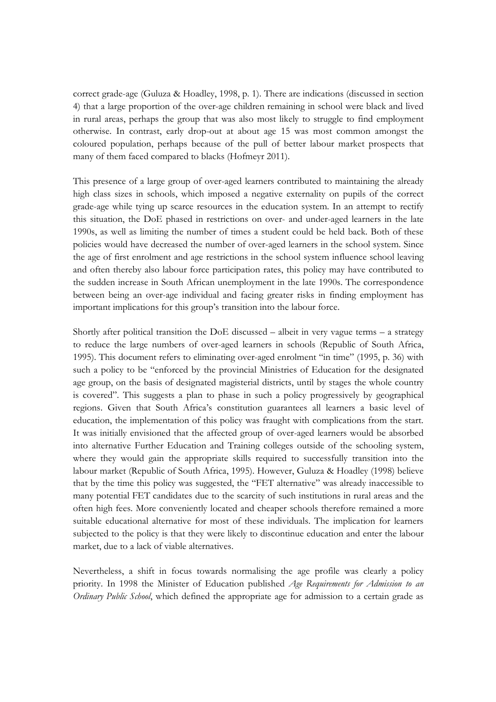correct grade-age (Guluza & Hoadley, 1998, p. 1). There are indications (discussed in section 4) that a large proportion of the over-age children remaining in school were black and lived in rural areas, perhaps the group that was also most likely to struggle to find employment otherwise. In contrast, early drop-out at about age 15 was most common amongst the coloured population, perhaps because of the pull of better labour market prospects that many of them faced compared to blacks (Hofmeyr 2011).

This presence of a large group of over-aged learners contributed to maintaining the already high class sizes in schools, which imposed a negative externality on pupils of the correct grade-age while tying up scarce resources in the education system. In an attempt to rectify this situation, the DoE phased in restrictions on over- and under-aged learners in the late 1990s, as well as limiting the number of times a student could be held back. Both of these policies would have decreased the number of over-aged learners in the school system. Since the age of first enrolment and age restrictions in the school system influence school leaving and often thereby also labour force participation rates, this policy may have contributed to the sudden increase in South African unemployment in the late 1990s. The correspondence between being an over-age individual and facing greater risks in finding employment has important implications for this group's transition into the labour force.

Shortly after political transition the DoE discussed – albeit in very vague terms – a strategy to reduce the large numbers of over-aged learners in schools (Republic of South Africa, 1995). This document refers to eliminating over-aged enrolment "in time" (1995, p. 36) with such a policy to be "enforced by the provincial Ministries of Education for the designated age group, on the basis of designated magisterial districts, until by stages the whole country is covered". This suggests a plan to phase in such a policy progressively by geographical regions. Given that South Africa's constitution guarantees all learners a basic level of education, the implementation of this policy was fraught with complications from the start. It was initially envisioned that the affected group of over-aged learners would be absorbed into alternative Further Education and Training colleges outside of the schooling system, where they would gain the appropriate skills required to successfully transition into the labour market (Republic of South Africa, 1995). However, Guluza & Hoadley (1998) believe that by the time this policy was suggested, the "FET alternative" was already inaccessible to many potential FET candidates due to the scarcity of such institutions in rural areas and the often high fees. More conveniently located and cheaper schools therefore remained a more suitable educational alternative for most of these individuals. The implication for learners subjected to the policy is that they were likely to discontinue education and enter the labour market, due to a lack of viable alternatives.

Nevertheless, a shift in focus towards normalising the age profile was clearly a policy priority. In 1998 the Minister of Education published Age Requirements for Admission to an Ordinary Public School, which defined the appropriate age for admission to a certain grade as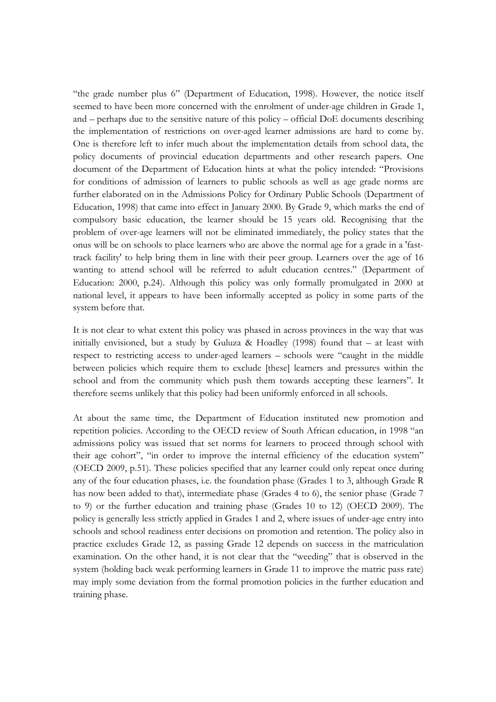"the grade number plus 6" (Department of Education, 1998). However, the notice itself seemed to have been more concerned with the enrolment of under-age children in Grade 1, and – perhaps due to the sensitive nature of this policy – official DoE documents describing the implementation of restrictions on over-aged learner admissions are hard to come by. One is therefore left to infer much about the implementation details from school data, the policy documents of provincial education departments and other research papers. One document of the Department of Education hints at what the policy intended: "Provisions for conditions of admission of learners to public schools as well as age grade norms are further elaborated on in the Admissions Policy for Ordinary Public Schools (Department of Education, 1998) that came into effect in January 2000. By Grade 9, which marks the end of compulsory basic education, the learner should be 15 years old. Recognising that the problem of over-age learners will not be eliminated immediately, the policy states that the onus will be on schools to place learners who are above the normal age for a grade in a 'fasttrack facility' to help bring them in line with their peer group. Learners over the age of 16 wanting to attend school will be referred to adult education centres." (Department of Education: 2000, p.24). Although this policy was only formally promulgated in 2000 at national level, it appears to have been informally accepted as policy in some parts of the system before that.

It is not clear to what extent this policy was phased in across provinces in the way that was initially envisioned, but a study by Guluza & Hoadley (1998) found that – at least with respect to restricting access to under-aged learners – schools were "caught in the middle between policies which require them to exclude [these] learners and pressures within the school and from the community which push them towards accepting these learners". It therefore seems unlikely that this policy had been uniformly enforced in all schools.

At about the same time, the Department of Education instituted new promotion and repetition policies. According to the OECD review of South African education, in 1998 "an admissions policy was issued that set norms for learners to proceed through school with their age cohort", "in order to improve the internal efficiency of the education system" (OECD 2009, p.51). These policies specified that any learner could only repeat once during any of the four education phases, i.e. the foundation phase (Grades 1 to 3, although Grade R has now been added to that), intermediate phase (Grades 4 to 6), the senior phase (Grade 7 to 9) or the further education and training phase (Grades 10 to 12) (OECD 2009). The policy is generally less strictly applied in Grades 1 and 2, where issues of under-age entry into schools and school readiness enter decisions on promotion and retention. The policy also in practice excludes Grade 12, as passing Grade 12 depends on success in the matriculation examination. On the other hand, it is not clear that the "weeding" that is observed in the system (holding back weak performing learners in Grade 11 to improve the matric pass rate) may imply some deviation from the formal promotion policies in the further education and training phase.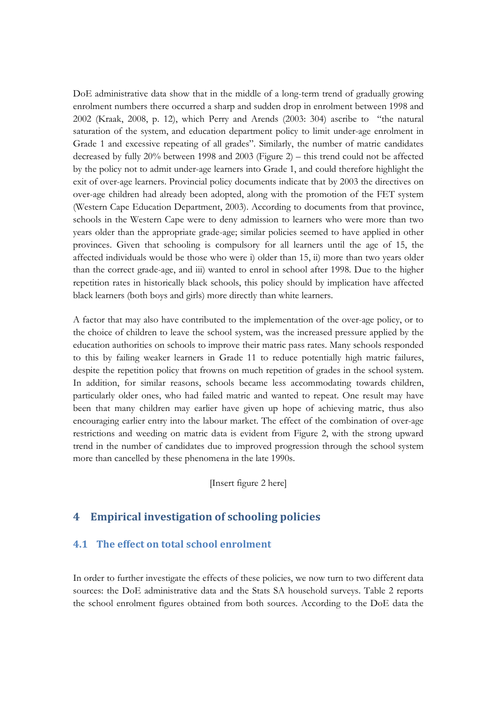DoE administrative data show that in the middle of a long-term trend of gradually growing enrolment numbers there occurred a sharp and sudden drop in enrolment between 1998 and 2002 (Kraak, 2008, p. 12), which Perry and Arends (2003: 304) ascribe to "the natural saturation of the system, and education department policy to limit under-age enrolment in Grade 1 and excessive repeating of all grades". Similarly, the number of matric candidates decreased by fully 20% between 1998 and 2003 (Figure 2) – this trend could not be affected by the policy not to admit under-age learners into Grade 1, and could therefore highlight the exit of over-age learners. Provincial policy documents indicate that by 2003 the directives on over-age children had already been adopted, along with the promotion of the FET system (Western Cape Education Department, 2003). According to documents from that province, schools in the Western Cape were to deny admission to learners who were more than two years older than the appropriate grade-age; similar policies seemed to have applied in other provinces. Given that schooling is compulsory for all learners until the age of 15, the affected individuals would be those who were i) older than 15, ii) more than two years older than the correct grade-age, and iii) wanted to enrol in school after 1998. Due to the higher repetition rates in historically black schools, this policy should by implication have affected black learners (both boys and girls) more directly than white learners.

A factor that may also have contributed to the implementation of the over-age policy, or to the choice of children to leave the school system, was the increased pressure applied by the education authorities on schools to improve their matric pass rates. Many schools responded to this by failing weaker learners in Grade 11 to reduce potentially high matric failures, despite the repetition policy that frowns on much repetition of grades in the school system. In addition, for similar reasons, schools became less accommodating towards children, particularly older ones, who had failed matric and wanted to repeat. One result may have been that many children may earlier have given up hope of achieving matric, thus also encouraging earlier entry into the labour market. The effect of the combination of over-age restrictions and weeding on matric data is evident from Figure 2, with the strong upward trend in the number of candidates due to improved progression through the school system more than cancelled by these phenomena in the late 1990s.

[Insert figure 2 here]

# 4 Empirical investigation of schooling policies

### 4.1 The effect on total school enrolment

In order to further investigate the effects of these policies, we now turn to two different data sources: the DoE administrative data and the Stats SA household surveys. Table 2 reports the school enrolment figures obtained from both sources. According to the DoE data the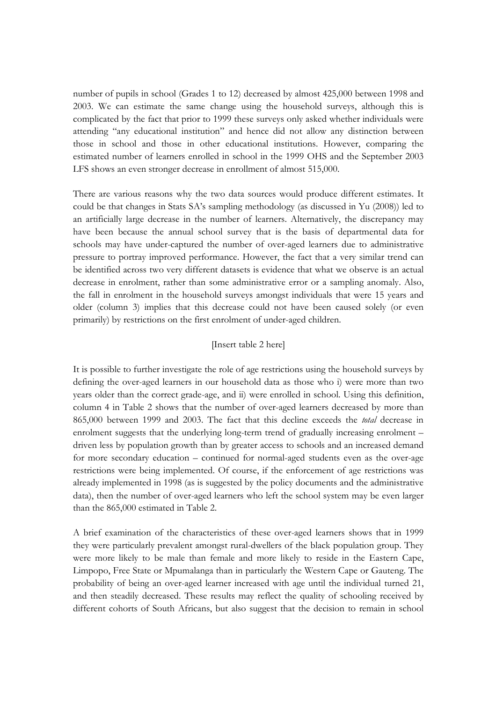number of pupils in school (Grades 1 to 12) decreased by almost 425,000 between 1998 and 2003. We can estimate the same change using the household surveys, although this is complicated by the fact that prior to 1999 these surveys only asked whether individuals were attending "any educational institution" and hence did not allow any distinction between those in school and those in other educational institutions. However, comparing the estimated number of learners enrolled in school in the 1999 OHS and the September 2003 LFS shows an even stronger decrease in enrollment of almost 515,000.

There are various reasons why the two data sources would produce different estimates. It could be that changes in Stats SA's sampling methodology (as discussed in Yu (2008)) led to an artificially large decrease in the number of learners. Alternatively, the discrepancy may have been because the annual school survey that is the basis of departmental data for schools may have under-captured the number of over-aged learners due to administrative pressure to portray improved performance. However, the fact that a very similar trend can be identified across two very different datasets is evidence that what we observe is an actual decrease in enrolment, rather than some administrative error or a sampling anomaly. Also, the fall in enrolment in the household surveys amongst individuals that were 15 years and older (column 3) implies that this decrease could not have been caused solely (or even primarily) by restrictions on the first enrolment of under-aged children.

### [Insert table 2 here]

It is possible to further investigate the role of age restrictions using the household surveys by defining the over-aged learners in our household data as those who i) were more than two years older than the correct grade-age, and ii) were enrolled in school. Using this definition, column 4 in Table 2 shows that the number of over-aged learners decreased by more than 865,000 between 1999 and 2003. The fact that this decline exceeds the total decrease in enrolment suggests that the underlying long-term trend of gradually increasing enrolment – driven less by population growth than by greater access to schools and an increased demand for more secondary education – continued for normal-aged students even as the over-age restrictions were being implemented. Of course, if the enforcement of age restrictions was already implemented in 1998 (as is suggested by the policy documents and the administrative data), then the number of over-aged learners who left the school system may be even larger than the 865,000 estimated in Table 2.

A brief examination of the characteristics of these over-aged learners shows that in 1999 they were particularly prevalent amongst rural-dwellers of the black population group. They were more likely to be male than female and more likely to reside in the Eastern Cape, Limpopo, Free State or Mpumalanga than in particularly the Western Cape or Gauteng. The probability of being an over-aged learner increased with age until the individual turned 21, and then steadily decreased. These results may reflect the quality of schooling received by different cohorts of South Africans, but also suggest that the decision to remain in school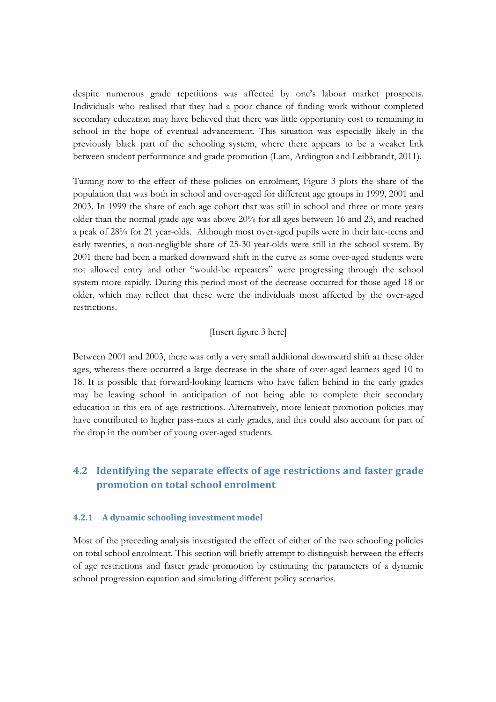despite numerous grade repetitions was affected by one's labour market prospects. Individuals who realised that they had a poor chance of finding work without completed secondary education may have believed that there was little opportunity cost to remaining in school in the hope of eventual advancement. This situation was especially likely in the previously black part of the schooling system, where there appears to be a weaker link between student performance and grade promotion (Lam, Ardington and Leibbrandt, 2011).

Turning now to the effect of these policies on enrolment, Figure 3 plots the share of the population that was both in school and over-aged for different age groups in 1999, 2001 and 2003. In 1999 the share of each age cohort that was still in school and three or more years older than the normal grade age was above 20% for all ages between 16 and 23, and reached a peak of 28% for 21 year-olds. Although most over-aged pupils were in their late-teens and early twenties, a non-negligible share of 25-30 year-olds were still in the school system. By 2001 there had been a marked downward shift in the curve as some over-aged students were not allowed entry and other "would-be repeaters" were progressing through the school system more rapidly. During this period most of the decrease occurred for those aged 18 or older, which may reflect that these were the individuals most affected by the over-aged restrictions.

### [Insert figure 3 here]

Between 2001 and 2003, there was only a very small additional downward shift at these older ages, whereas there occurred a large decrease in the share of over-aged learners aged 10 to 18. It is possible that forward-looking learners who have fallen behind in the early grades may be leaving school in anticipation of not being able to complete their secondary education in this era of age restrictions. Alternatively, more lenient promotion policies may have contributed to higher pass-rates at early grades, and this could also account for part of the drop in the number of young over-aged students.

# 4.2 Identifying the separate effects of age restrictions and faster grade promotion on total school enrolment

### 4.2.1 A dynamic schooling investment model

Most of the preceding analysis investigated the effect of either of the two schooling policies on total school enrolment. This section will briefly attempt to distinguish between the effects of age restrictions and faster grade promotion by estimating the parameters of a dynamic school progression equation and simulating different policy scenarios.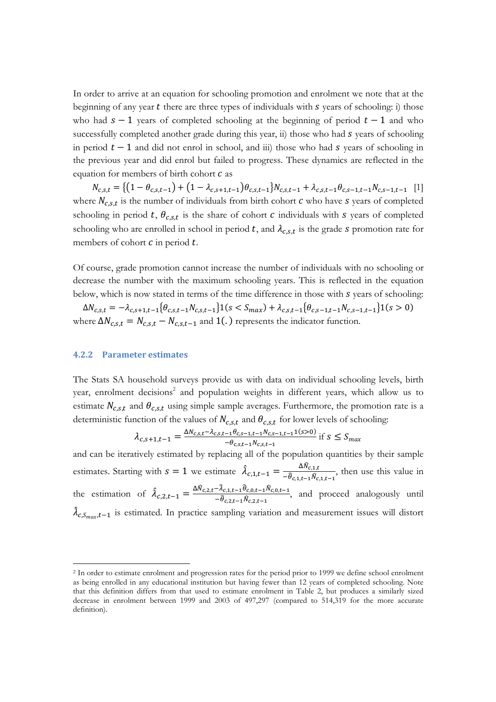In order to arrive at an equation for schooling promotion and enrolment we note that at the beginning of any year  $t$  there are three types of individuals with  $s$  years of schooling: i) those who had  $s - 1$  years of completed schooling at the beginning of period  $t - 1$  and who successfully completed another grade during this year, ii) those who had  $s$  years of schooling in period  $t - 1$  and did not enrol in school, and iii) those who had  $s$  years of schooling in the previous year and did enrol but failed to progress. These dynamics are reflected in the equation for members of birth cohort  $c$  as

 $N_{c,s,t} = \{(1-\theta_{c,s,t-1}) + (1-\lambda_{c,s+1,t-1})\theta_{c,s,t-1}\}N_{c,s,t-1} + \lambda_{c,s,t-1}\theta_{c,s-1,t-1}N_{c,s-1,t-1}$  [1] where  $N_{c,s,t}$  is the number of individuals from birth cohort  $c$  who have  $s$  years of completed schooling in period t,  $\theta_{c,s,t}$  is the share of cohort c individuals with s years of completed schooling who are enrolled in school in period t, and  $\lambda_{c,s,t}$  is the grade s promotion rate for members of cohort  $c$  in period  $t$ .

Of course, grade promotion cannot increase the number of individuals with no schooling or decrease the number with the maximum schooling years. This is reflected in the equation below, which is now stated in terms of the time difference in those with  $s$  years of schooling:

 $\Delta N_{c,s,t} = -\lambda_{c,s+1,t-1} \{ \theta_{c,s,t-1} N_{c,s,t-1} \} 1(s \leq S_{max}) + \lambda_{c,s,t-1} \{ \theta_{c,s-1,t-1} N_{c,s-1,t-1} \} 1(s > 0)$ where  $\Delta N_{c,s,t} = N_{c,s,t} - N_{c,s,t-1}$  and 1(.) represents the indicator function.

#### 4.2.2 Parameter estimates

-

The Stats SA household surveys provide us with data on individual schooling levels, birth year, enrolment decisions<sup>2</sup> and population weights in different years, which allow us to estimate  $N_{c,s,t}$  and  $\theta_{c,s,t}$  using simple sample averages. Furthermore, the promotion rate is a deterministic function of the values of  $N_{c,s,t}$  and  $\theta_{c,s,t}$  for lower levels of schooling:

$$
\lambda_{c,s+1,t-1} = \frac{\Delta N_{c,s,t} - \lambda_{c,s,t-1} \theta_{c,s-1,t-1} N_{c,s-1,t-1} 1(s>0)}{-\theta_{c,s,t-1} N_{c,s,t-1}} \text{ if } s \le S_{max}
$$

and can be iteratively estimated by replacing all of the population quantities by their sample estimates. Starting with  $s = 1$  we estimate  $\hat{\lambda}_{c,1,t-1} = \frac{\Delta \hat{N}_{c,1,t}}{-\hat{\theta}_{c,1,t}}$  $\frac{\Delta N_{c,1,t}}{-\hat{\theta}_{c,1,t-1}\hat{N}_{c,1,t-1}}$ , then use this value in the estimation of  $\hat{\lambda}_{c,2,t-1} = \frac{\Delta \hat{N}_{c,2,t} - \hat{\lambda}_{c,1,t-1} \hat{\theta}_{c,0,t-1} \hat{N}_{c,0,t-1}}{\hat{\theta}_{c,2,t-1} \hat{\theta}_{c,2,t-1}}$  $\frac{\pi_{c,1,t-1}^T \sigma_{c,0,t-1}^T \cdots \sigma_{0,t-1}^T \sigma_{0,t-1}}{\theta_{c,2,t-1} \hat{N}_{c,2,t-1}}$ , and proceed analogously until  $\hat{\lambda}_{c,s_{max},t-1}$  is estimated. In practice sampling variation and measurement issues will distort

<sup>2</sup> In order to estimate enrolment and progression rates for the period prior to 1999 we define school enrolment as being enrolled in any educational institution but having fewer than 12 years of completed schooling. Note that this definition differs from that used to estimate enrolment in Table 2, but produces a similarly sized decrease in enrolment between 1999 and 2003 of 497,297 (compared to 514,319 for the more accurate definition).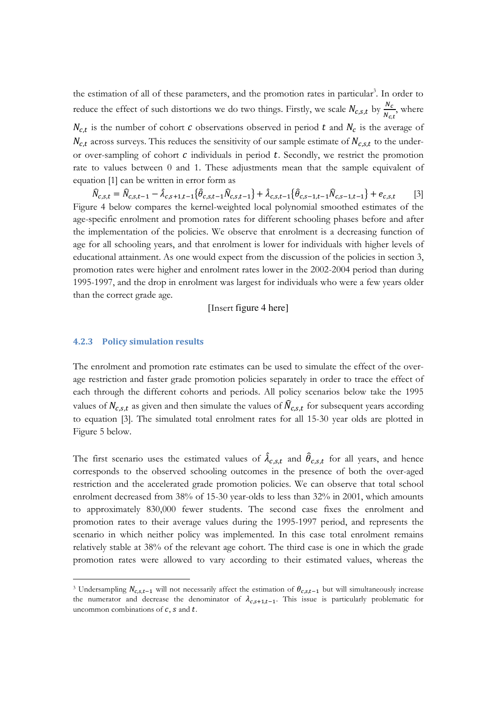the estimation of all of these parameters, and the promotion rates in particular<sup>3</sup>. In order to reduce the effect of such distortions we do two things. Firstly, we scale  $N_{c,s,t}$  by  $\frac{N_c}{N_{c,t}}$ , where

 $N_{c,t}$  is the number of cohort  $c$  observations observed in period  $t$  and  $N_c$  is the average of  $N_{c,t}$  across surveys. This reduces the sensitivity of our sample estimate of  $N_{c,s,t}$  to the underor over-sampling of cohort  $c$  individuals in period  $t$ . Secondly, we restrict the promotion rate to values between 0 and 1. These adjustments mean that the sample equivalent of equation [1] can be written in error form as

 $\widehat{N}_{c,s,t} = \widehat{N}_{c,s,t-1} - \widehat{\lambda}_{c,s+1,t-1} \{ \widehat{\theta}_{c,s,t-1} \widehat{N}_{c,s,t-1} \} + \widehat{\lambda}_{c,s,t-1} \{ \widehat{\theta}_{c,s-1,t-1} \widehat{N}_{c,s-1,t-1} \} + e_{c,s,t}$  [3] Figure 4 below compares the kernel-weighted local polynomial smoothed estimates of the age-specific enrolment and promotion rates for different schooling phases before and after the implementation of the policies. We observe that enrolment is a decreasing function of age for all schooling years, and that enrolment is lower for individuals with higher levels of educational attainment. As one would expect from the discussion of the policies in section 3, promotion rates were higher and enrolment rates lower in the 2002-2004 period than during 1995-1997, and the drop in enrolment was largest for individuals who were a few years older than the correct grade age.

#### [Insert figure 4 here]

### 4.2.3 Policy simulation results

-

The enrolment and promotion rate estimates can be used to simulate the effect of the overage restriction and faster grade promotion policies separately in order to trace the effect of each through the different cohorts and periods. All policy scenarios below take the 1995 values of  $N_{c,s,t}$  as given and then simulate the values of  $\widehat{N}_{c,s,t}$  for subsequent years according to equation [3]. The simulated total enrolment rates for all 15-30 year olds are plotted in Figure 5 below.

The first scenario uses the estimated values of  $\hat{\lambda}_{c,s,t}$  and  $\hat{\theta}_{c,s,t}$  for all years, and hence corresponds to the observed schooling outcomes in the presence of both the over-aged restriction and the accelerated grade promotion policies. We can observe that total school enrolment decreased from 38% of 15-30 year-olds to less than 32% in 2001, which amounts to approximately 830,000 fewer students. The second case fixes the enrolment and promotion rates to their average values during the 1995-1997 period, and represents the scenario in which neither policy was implemented. In this case total enrolment remains relatively stable at 38% of the relevant age cohort. The third case is one in which the grade promotion rates were allowed to vary according to their estimated values, whereas the

<sup>&</sup>lt;sup>3</sup> Undersampling  $N_{c,s,t-1}$  will not necessarily affect the estimation of  $\theta_{c,s,t-1}$  but will simultaneously increase the numerator and decrease the denominator of  $\lambda_{c,s+1,t-1}$ . This issue is particularly problematic for uncommon combinations of  $c$ ,  $s$  and  $t$ .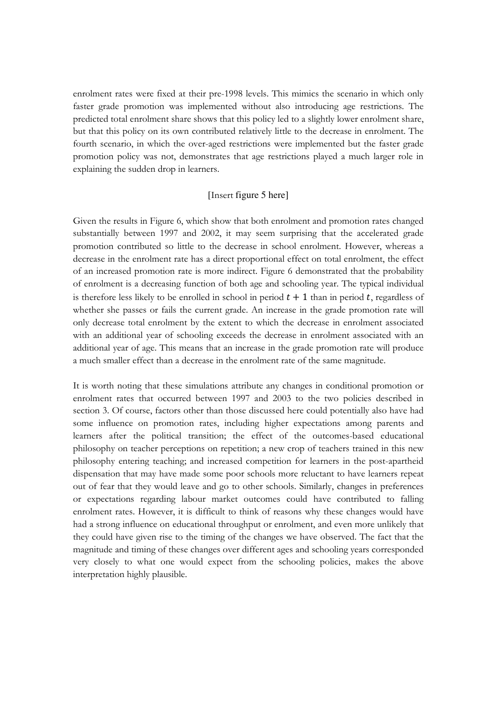enrolment rates were fixed at their pre-1998 levels. This mimics the scenario in which only faster grade promotion was implemented without also introducing age restrictions. The predicted total enrolment share shows that this policy led to a slightly lower enrolment share, but that this policy on its own contributed relatively little to the decrease in enrolment. The fourth scenario, in which the over-aged restrictions were implemented but the faster grade promotion policy was not, demonstrates that age restrictions played a much larger role in explaining the sudden drop in learners.

### [Insert figure 5 here]

Given the results in Figure 6, which show that both enrolment and promotion rates changed substantially between 1997 and 2002, it may seem surprising that the accelerated grade promotion contributed so little to the decrease in school enrolment. However, whereas a decrease in the enrolment rate has a direct proportional effect on total enrolment, the effect of an increased promotion rate is more indirect. Figure 6 demonstrated that the probability of enrolment is a decreasing function of both age and schooling year. The typical individual is therefore less likely to be enrolled in school in period  $t + 1$  than in period t, regardless of whether she passes or fails the current grade. An increase in the grade promotion rate will only decrease total enrolment by the extent to which the decrease in enrolment associated with an additional year of schooling exceeds the decrease in enrolment associated with an additional year of age. This means that an increase in the grade promotion rate will produce a much smaller effect than a decrease in the enrolment rate of the same magnitude.

It is worth noting that these simulations attribute any changes in conditional promotion or enrolment rates that occurred between 1997 and 2003 to the two policies described in section 3. Of course, factors other than those discussed here could potentially also have had some influence on promotion rates, including higher expectations among parents and learners after the political transition; the effect of the outcomes-based educational philosophy on teacher perceptions on repetition; a new crop of teachers trained in this new philosophy entering teaching; and increased competition for learners in the post-apartheid dispensation that may have made some poor schools more reluctant to have learners repeat out of fear that they would leave and go to other schools. Similarly, changes in preferences or expectations regarding labour market outcomes could have contributed to falling enrolment rates. However, it is difficult to think of reasons why these changes would have had a strong influence on educational throughput or enrolment, and even more unlikely that they could have given rise to the timing of the changes we have observed. The fact that the magnitude and timing of these changes over different ages and schooling years corresponded very closely to what one would expect from the schooling policies, makes the above interpretation highly plausible.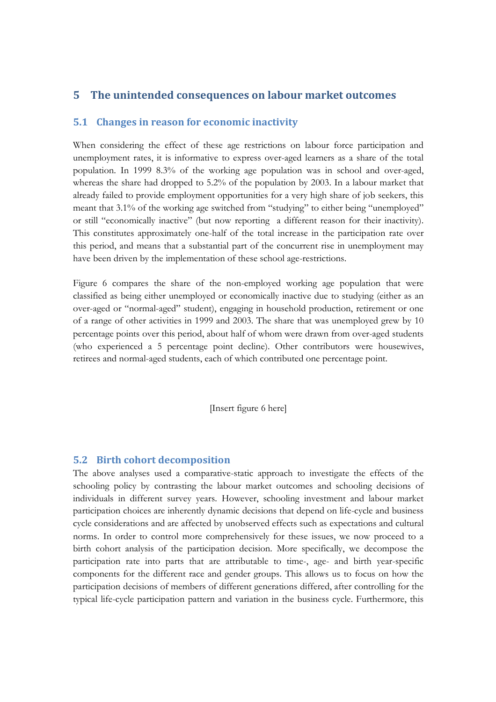# 5 The unintended consequences on labour market outcomes

### 5.1 Changes in reason for economic inactivity

When considering the effect of these age restrictions on labour force participation and unemployment rates, it is informative to express over-aged learners as a share of the total population. In 1999 8.3% of the working age population was in school and over-aged, whereas the share had dropped to 5.2% of the population by 2003. In a labour market that already failed to provide employment opportunities for a very high share of job seekers, this meant that 3.1% of the working age switched from "studying" to either being "unemployed" or still "economically inactive" (but now reporting a different reason for their inactivity). This constitutes approximately one-half of the total increase in the participation rate over this period, and means that a substantial part of the concurrent rise in unemployment may have been driven by the implementation of these school age-restrictions.

Figure 6 compares the share of the non-employed working age population that were classified as being either unemployed or economically inactive due to studying (either as an over-aged or "normal-aged" student), engaging in household production, retirement or one of a range of other activities in 1999 and 2003. The share that was unemployed grew by 10 percentage points over this period, about half of whom were drawn from over-aged students (who experienced a 5 percentage point decline). Other contributors were housewives, retirees and normal-aged students, each of which contributed one percentage point.

[Insert figure 6 here]

### 5.2 Birth cohort decomposition

The above analyses used a comparative-static approach to investigate the effects of the schooling policy by contrasting the labour market outcomes and schooling decisions of individuals in different survey years. However, schooling investment and labour market participation choices are inherently dynamic decisions that depend on life-cycle and business cycle considerations and are affected by unobserved effects such as expectations and cultural norms. In order to control more comprehensively for these issues, we now proceed to a birth cohort analysis of the participation decision. More specifically, we decompose the participation rate into parts that are attributable to time-, age- and birth year-specific components for the different race and gender groups. This allows us to focus on how the participation decisions of members of different generations differed, after controlling for the typical life-cycle participation pattern and variation in the business cycle. Furthermore, this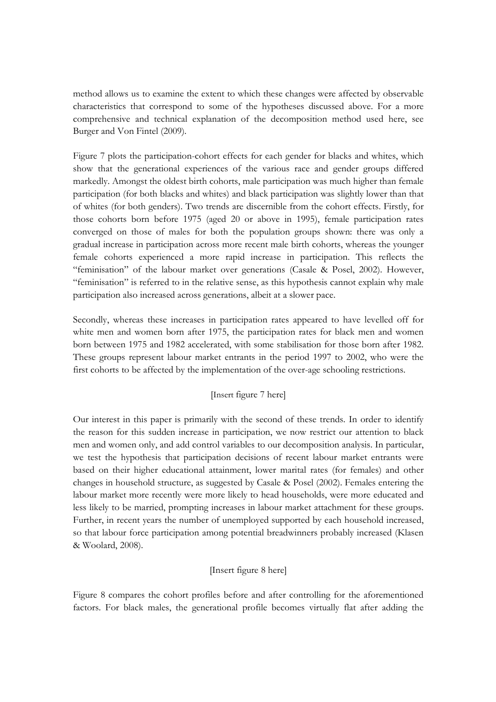method allows us to examine the extent to which these changes were affected by observable characteristics that correspond to some of the hypotheses discussed above. For a more comprehensive and technical explanation of the decomposition method used here, see Burger and Von Fintel (2009).

Figure 7 plots the participation-cohort effects for each gender for blacks and whites, which show that the generational experiences of the various race and gender groups differed markedly. Amongst the oldest birth cohorts, male participation was much higher than female participation (for both blacks and whites) and black participation was slightly lower than that of whites (for both genders). Two trends are discernible from the cohort effects. Firstly, for those cohorts born before 1975 (aged 20 or above in 1995), female participation rates converged on those of males for both the population groups shown: there was only a gradual increase in participation across more recent male birth cohorts, whereas the younger female cohorts experienced a more rapid increase in participation. This reflects the "feminisation" of the labour market over generations (Casale & Posel, 2002). However, "feminisation" is referred to in the relative sense, as this hypothesis cannot explain why male participation also increased across generations, albeit at a slower pace.

Secondly, whereas these increases in participation rates appeared to have levelled off for white men and women born after 1975, the participation rates for black men and women born between 1975 and 1982 accelerated, with some stabilisation for those born after 1982. These groups represent labour market entrants in the period 1997 to 2002, who were the first cohorts to be affected by the implementation of the over-age schooling restrictions.

### [Insert figure 7 here]

Our interest in this paper is primarily with the second of these trends. In order to identify the reason for this sudden increase in participation, we now restrict our attention to black men and women only, and add control variables to our decomposition analysis. In particular, we test the hypothesis that participation decisions of recent labour market entrants were based on their higher educational attainment, lower marital rates (for females) and other changes in household structure, as suggested by Casale & Posel (2002). Females entering the labour market more recently were more likely to head households, were more educated and less likely to be married, prompting increases in labour market attachment for these groups. Further, in recent years the number of unemployed supported by each household increased, so that labour force participation among potential breadwinners probably increased (Klasen & Woolard, 2008).

### [Insert figure 8 here]

Figure 8 compares the cohort profiles before and after controlling for the aforementioned factors. For black males, the generational profile becomes virtually flat after adding the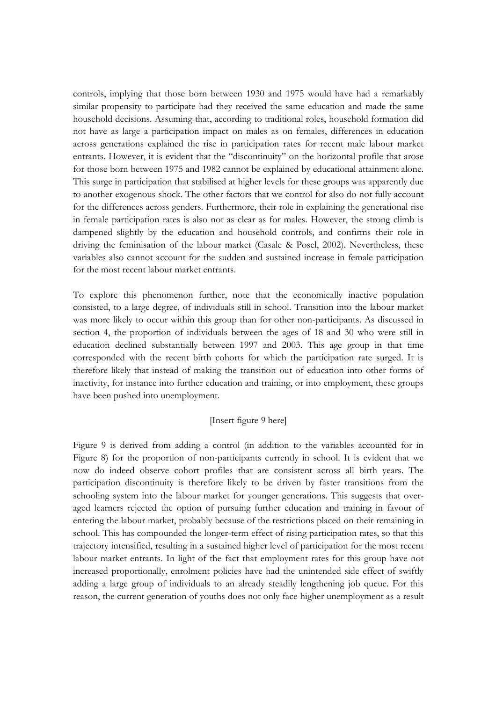controls, implying that those born between 1930 and 1975 would have had a remarkably similar propensity to participate had they received the same education and made the same household decisions. Assuming that, according to traditional roles, household formation did not have as large a participation impact on males as on females, differences in education across generations explained the rise in participation rates for recent male labour market entrants. However, it is evident that the "discontinuity" on the horizontal profile that arose for those born between 1975 and 1982 cannot be explained by educational attainment alone. This surge in participation that stabilised at higher levels for these groups was apparently due to another exogenous shock. The other factors that we control for also do not fully account for the differences across genders. Furthermore, their role in explaining the generational rise in female participation rates is also not as clear as for males. However, the strong climb is dampened slightly by the education and household controls, and confirms their role in driving the feminisation of the labour market (Casale & Posel, 2002). Nevertheless, these variables also cannot account for the sudden and sustained increase in female participation for the most recent labour market entrants.

To explore this phenomenon further, note that the economically inactive population consisted, to a large degree, of individuals still in school. Transition into the labour market was more likely to occur within this group than for other non-participants. As discussed in section 4, the proportion of individuals between the ages of 18 and 30 who were still in education declined substantially between 1997 and 2003. This age group in that time corresponded with the recent birth cohorts for which the participation rate surged. It is therefore likely that instead of making the transition out of education into other forms of inactivity, for instance into further education and training, or into employment, these groups have been pushed into unemployment.

### [Insert figure 9 here]

Figure 9 is derived from adding a control (in addition to the variables accounted for in Figure 8) for the proportion of non-participants currently in school. It is evident that we now do indeed observe cohort profiles that are consistent across all birth years. The participation discontinuity is therefore likely to be driven by faster transitions from the schooling system into the labour market for younger generations. This suggests that overaged learners rejected the option of pursuing further education and training in favour of entering the labour market, probably because of the restrictions placed on their remaining in school. This has compounded the longer-term effect of rising participation rates, so that this trajectory intensified, resulting in a sustained higher level of participation for the most recent labour market entrants. In light of the fact that employment rates for this group have not increased proportionally, enrolment policies have had the unintended side effect of swiftly adding a large group of individuals to an already steadily lengthening job queue. For this reason, the current generation of youths does not only face higher unemployment as a result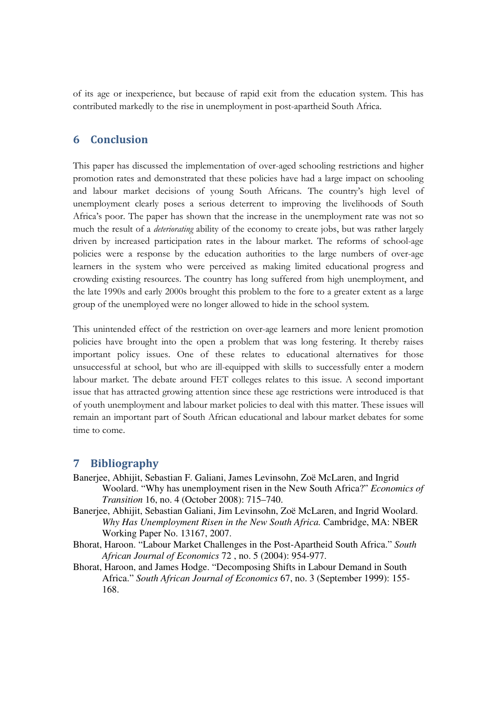of its age or inexperience, but because of rapid exit from the education system. This has contributed markedly to the rise in unemployment in post-apartheid South Africa.

# 6 Conclusion

This paper has discussed the implementation of over-aged schooling restrictions and higher promotion rates and demonstrated that these policies have had a large impact on schooling and labour market decisions of young South Africans. The country's high level of unemployment clearly poses a serious deterrent to improving the livelihoods of South Africa's poor. The paper has shown that the increase in the unemployment rate was not so much the result of a *deteriorating* ability of the economy to create jobs, but was rather largely driven by increased participation rates in the labour market. The reforms of school-age policies were a response by the education authorities to the large numbers of over-age learners in the system who were perceived as making limited educational progress and crowding existing resources. The country has long suffered from high unemployment, and the late 1990s and early 2000s brought this problem to the fore to a greater extent as a large group of the unemployed were no longer allowed to hide in the school system.

This unintended effect of the restriction on over-age learners and more lenient promotion policies have brought into the open a problem that was long festering. It thereby raises important policy issues. One of these relates to educational alternatives for those unsuccessful at school, but who are ill-equipped with skills to successfully enter a modern labour market. The debate around FET colleges relates to this issue. A second important issue that has attracted growing attention since these age restrictions were introduced is that of youth unemployment and labour market policies to deal with this matter. These issues will remain an important part of South African educational and labour market debates for some time to come.

## 7 Bibliography

- Banerjee, Abhijit, Sebastian F. Galiani, James Levinsohn, Zoë McLaren, and Ingrid Woolard. "Why has unemployment risen in the New South Africa?" *Economics of Transition* 16, no. 4 (October 2008): 715–740.
- Banerjee, Abhijit, Sebastian Galiani, Jim Levinsohn, Zoë McLaren, and Ingrid Woolard. *Why Has Unemployment Risen in the New South Africa.* Cambridge, MA: NBER Working Paper No. 13167, 2007.
- Bhorat, Haroon. "Labour Market Challenges in the Post-Apartheid South Africa." *South African Journal of Economics* 72 , no. 5 (2004): 954-977.
- Bhorat, Haroon, and James Hodge. "Decomposing Shifts in Labour Demand in South Africa." *South African Journal of Economics* 67, no. 3 (September 1999): 155- 168.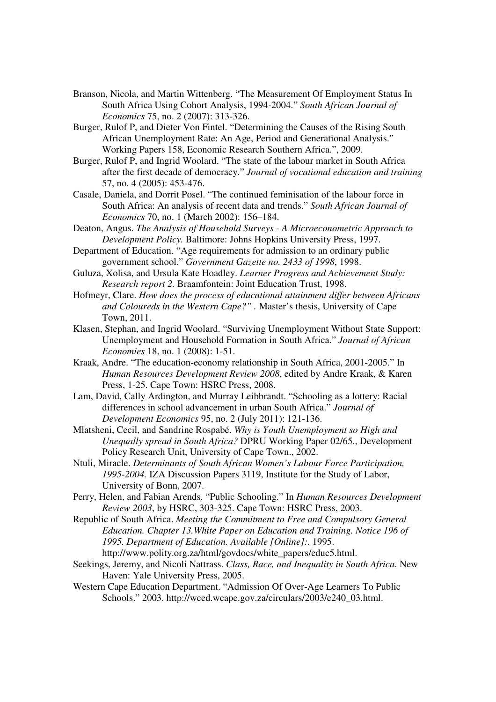- Branson, Nicola, and Martin Wittenberg. "The Measurement Of Employment Status In South Africa Using Cohort Analysis, 1994-2004." *South African Journal of Economics* 75, no. 2 (2007): 313-326.
- Burger, Rulof P, and Dieter Von Fintel. "Determining the Causes of the Rising South African Unemployment Rate: An Age, Period and Generational Analysis." Working Papers 158, Economic Research Southern Africa.", 2009.
- Burger, Rulof P, and Ingrid Woolard. "The state of the labour market in South Africa after the first decade of democracy." *Journal of vocational education and training* 57, no. 4 (2005): 453-476.
- Casale, Daniela, and Dorrit Posel. "The continued feminisation of the labour force in South Africa: An analysis of recent data and trends." *South African Journal of Economics* 70, no. 1 (March 2002): 156–184.
- Deaton, Angus. *The Analysis of Household Surveys A Microeconometric Approach to Development Policy.* Baltimore: Johns Hopkins University Press, 1997.
- Department of Education. "Age requirements for admission to an ordinary public government school." *Government Gazette no. 2433 of 1998*, 1998.
- Guluza, Xolisa, and Ursula Kate Hoadley. *Learner Progress and Achievement Study: Research report 2.* Braamfontein: Joint Education Trust, 1998.
- Hofmeyr, Clare. *How does the process of educational attainment differ between Africans and Coloureds in the Western Cape?" .* Master's thesis, University of Cape Town, 2011.
- Klasen, Stephan, and Ingrid Woolard. "Surviving Unemployment Without State Support: Unemployment and Household Formation in South Africa." *Journal of African Economies* 18, no. 1 (2008): 1-51.
- Kraak, Andre. "The education-economy relationship in South Africa, 2001-2005." In *Human Resources Development Review 2008*, edited by Andre Kraak, & Karen Press, 1-25. Cape Town: HSRC Press, 2008.
- Lam, David, Cally Ardington, and Murray Leibbrandt. "Schooling as a lottery: Racial differences in school advancement in urban South Africa." *Journal of Development Economics* 95, no. 2 (July 2011): 121-136.
- Mlatsheni, Cecil, and Sandrine Rospabé. *Why is Youth Unemployment so High and Unequally spread in South Africa?* DPRU Working Paper 02/65., Development Policy Research Unit, University of Cape Town., 2002.
- Ntuli, Miracle. *Determinants of South African Women's Labour Force Participation, 1995-2004.* IZA Discussion Papers 3119, Institute for the Study of Labor, University of Bonn, 2007.
- Perry, Helen, and Fabian Arends. "Public Schooling." In *Human Resources Development Review 2003*, by HSRC, 303-325. Cape Town: HSRC Press, 2003.
- Republic of South Africa. *Meeting the Commitment to Free and Compulsory General Education. Chapter 13.White Paper on Education and Training. Notice 196 of 1995. Department of Education. Available [Online]:.* 1995. http://www.polity.org.za/html/govdocs/white\_papers/educ5.html.
- Seekings, Jeremy, and Nicoli Nattrass. *Class, Race, and Inequality in South Africa.* New Haven: Yale University Press, 2005.
- Western Cape Education Department. "Admission Of Over-Age Learners To Public Schools." 2003. http://wced.wcape.gov.za/circulars/2003/e240\_03.html.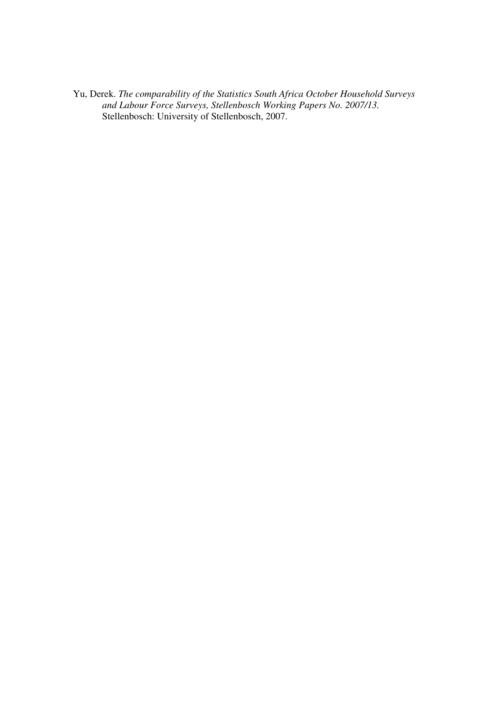Yu, Derek. *The comparability of the Statistics South Africa October Household Surveys and Labour Force Surveys, Stellenbosch Working Papers No. 2007/13.* Stellenbosch: University of Stellenbosch, 2007.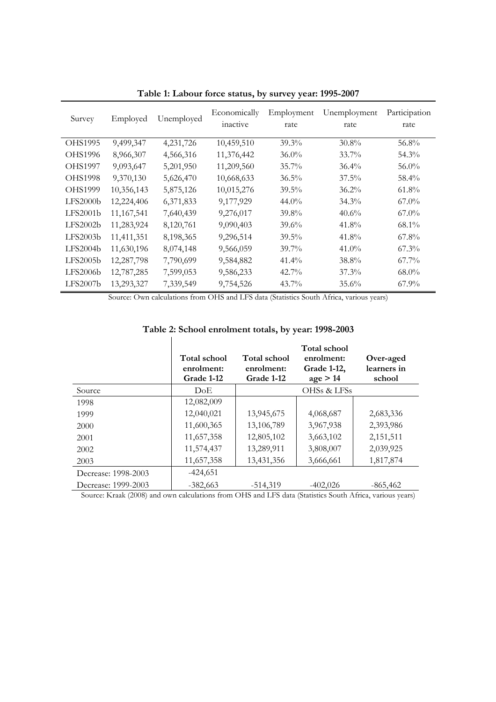| Survey         | Employed   | Unemployed | Economically<br>inactive | Employment<br>rate | Unemployment<br>rate | Participation<br>rate |
|----------------|------------|------------|--------------------------|--------------------|----------------------|-----------------------|
| <b>OHS1995</b> | 9,499,347  | 4,231,726  | 10,459,510               | 39.3%              | $30.8\%$             | 56.8%                 |
| OHS1996        | 8,966,307  | 4,566,316  | 11,376,442               | $36.0\%$           | $33.7\%$             | $54.3\%$              |
| <b>OHS1997</b> | 9,093,647  | 5,201,950  | 11,209,560               | $35.7\%$           | $36.4\%$             | $56.0\%$              |
| <b>OHS1998</b> | 9,370,130  | 5,626,470  | 10,668,633               | $36.5\%$           | $37.5\%$             | 58.4%                 |
| <b>OHS1999</b> | 10,356,143 | 5,875,126  | 10,015,276               | $39.5\%$           | $36.2\%$             | $61.8\%$              |
| LFS2000b       | 12,224,406 | 6,371,833  | 9,177,929                | $44.0\%$           | $34.3\%$             | $67.0\%$              |
| LFS2001b       | 11,167,541 | 7,640,439  | 9,276,017                | 39.8%              | $40.6\%$             | $67.0\%$              |
| LFS2002b       | 11,283,924 | 8,120,761  | 9,090,403                | 39.6%              | $41.8\%$             | $68.1\%$              |
| LFS2003b       | 11,411,351 | 8,198,365  | 9,296,514                | $39.5\%$           | 41.8%                | $67.8\%$              |
| LFS2004b       | 11,630,196 | 8,074,148  | 9,566,059                | $39.7\%$           | $41.0\%$             | $67.3\%$              |
| LFS2005b       | 12,287,798 | 7,790,699  | 9,584,882                | $41.4\%$           | 38.8%                | $67.7\%$              |
| LFS2006b       | 12,787,285 | 7,599,053  | 9,586,233                | $42.7\%$           | $37.3\%$             | $68.0\%$              |
| LFS2007b       | 13,293,327 | 7,339,549  | 9,754,526                | $43.7\%$           | $35.6\%$             | $67.9\%$              |

Table 1: Labour force status, by survey year: 1995-2007

Source: Own calculations from OHS and LFS data (Statistics South Africa, various years)

| Total school<br>enrolment:<br>Grade 1-12 | Total school<br>enrolment:<br>Grade 1-12 | Total school<br>enrolment:<br><b>Grade 1-12,</b><br>age > 14 | Over-aged<br>learners in<br>school |
|------------------------------------------|------------------------------------------|--------------------------------------------------------------|------------------------------------|
| DoE                                      |                                          | OHSs & LFSs                                                  |                                    |
| 12,082,009                               |                                          |                                                              |                                    |
| 12,040,021                               | 13,945,675                               | 4,068,687                                                    | 2,683,336                          |
| 11,600,365                               | 13,106,789                               | 3,967,938                                                    | 2,393,986                          |
| 11,657,358                               | 12,805,102                               | 3,663,102                                                    | 2,151,511                          |
| 11,574,437                               | 13,289,911                               | 3,808,007                                                    | 2,039,925                          |
| 11,657,358                               | 13,431,356                               | 3,666,661                                                    | 1,817,874                          |
| $-424,651$                               |                                          |                                                              |                                    |
| $-382,663$                               | $-514,319$                               | $-402,026$                                                   | $-865,462$                         |
|                                          |                                          |                                                              |                                    |

# Table 2: School enrolment totals, by year: 1998-2003

Source: Kraak (2008) and own calculations from OHS and LFS data (Statistics South Africa, various years)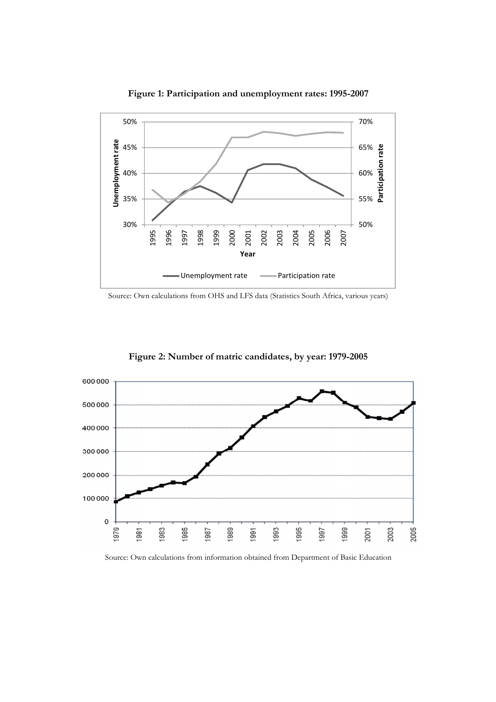

Figure 1: Participation and unemployment rates: 1995-2007

Source: Own calculations from OHS and LFS data (Statistics South Africa, various years)



Figure 2: Number of matric candidates, by year: 1979-2005

Source: Own calculations from information obtained from Department of Basic Education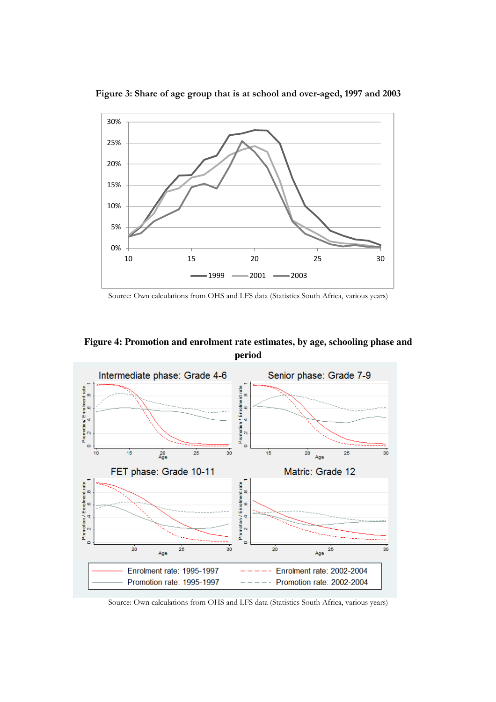

Figure 3: Share of age group that is at school and over-aged, 1997 and 2003

Source: Own calculations from OHS and LFS data (Statistics South Africa, various years)

**Figure 4: Promotion and enrolment rate estimates, by age, schooling phase and period** 



Source: Own calculations from OHS and LFS data (Statistics South Africa, various years)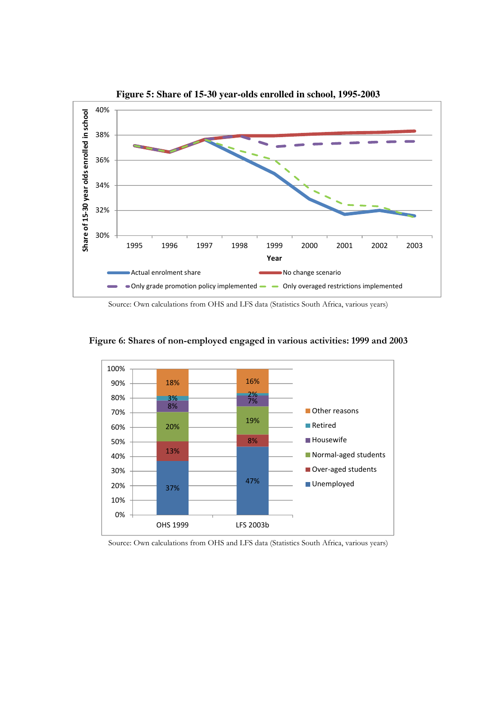

**Figure 5: Share of 15-30 year-olds enrolled in school, 1995-2003** 

Source: Own calculations from OHS and LFS data (Statistics South Africa, various years)



### Figure 6: Shares of non-employed engaged in various activities: 1999 and 2003

Source: Own calculations from OHS and LFS data (Statistics South Africa, various years)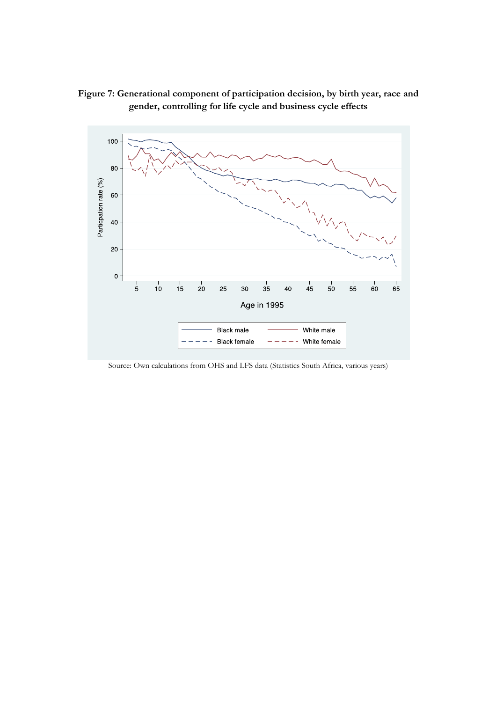



Source: Own calculations from OHS and LFS data (Statistics South Africa, various years)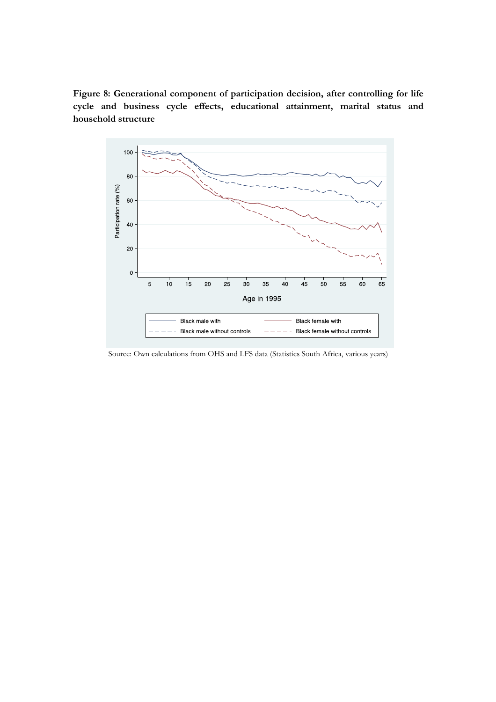Figure 8: Generational component of participation decision, after controlling for life cycle and business cycle effects, educational attainment, marital status and household structure



Source: Own calculations from OHS and LFS data (Statistics South Africa, various years)